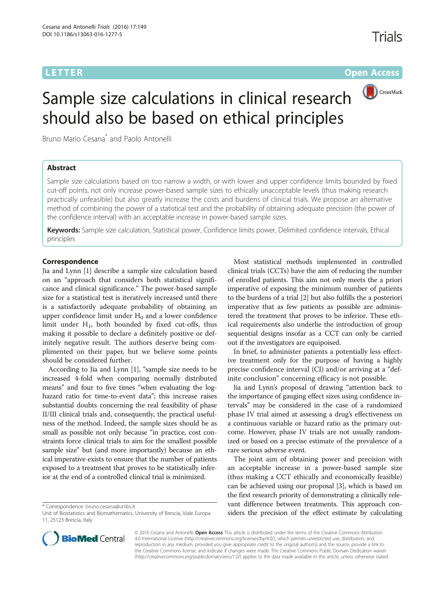## **LETTER CONSTRUCTION CONSTRUCTER CONSTRUCTER CONSTRUCTER CONSTRUCTER CONSTRUCTER**



# Sample size calculations in clinical research should also be based on ethical principles

Bruno Mario Cesana\* and Paolo Antonelli

## Abstract

Sample size calculations based on too narrow a width, or with lower and upper confidence limits bounded by fixed cut-off points, not only increase power-based sample sizes to ethically unacceptable levels (thus making research practically unfeasible) but also greatly increase the costs and burdens of clinical trials. We propose an alternative method of combining the power of a statistical test and the probability of obtaining adequate precision (the power of the confidence interval) with an acceptable increase in power-based sample sizes.

Keywords: Sample size calculation, Statistical power, Confidence limits power, Delimited confidence intervals, Ethical principles

## **Correspondence**

Jia and Lynn [[1\]](#page-1-0) describe a sample size calculation based on an "approach that considers both statistical significance and clinical significance." The power-based sample size for a statistical test is iteratively increased until there is a satisfactorily adequate probability of obtaining an upper confidence limit under  $H_0$  and a lower confidence limit under  $H_1$ , both bounded by fixed cut-offs, thus making it possible to declare a definitely positive or definitely negative result. The authors deserve being complimented on their paper, but we believe some points should be considered further.

According to Jia and Lynn [\[1](#page-1-0)], "sample size needs to be increased 4-fold when comparing normally distributed means" and four to five times "when evaluating the loghazard ratio for time-to-event data"; this increase raises substantial doubts concerning the real feasibility of phase II/III clinical trials and, consequently, the practical usefulness of the method. Indeed, the sample sizes should be as small as possible not only because "in practice, cost constraints force clinical trials to aim for the smallest possible sample size" but (and more importantly) because an ethical imperative exists to ensure that the number of patients exposed to a treatment that proves to be statistically inferior at the end of a controlled clinical trial is minimized.

\* Correspondence: [bruno.cesana@unibs.it](mailto:bruno.cesana@unibs.it)

Most statistical methods implemented in controlled clinical trials (CCTs) have the aim of reducing the number of enrolled patients. This aim not only meets the a priori imperative of exposing the minimum number of patients to the burdens of a trial [\[2](#page-1-0)] but also fulfills the a posteriori imperative that as few patients as possible are administered the treatment that proves to be inferior. These ethical requirements also underlie the introduction of group sequential designs insofar as a CCT can only be carried out if the investigators are equipoised.

In brief, to administer patients a potentially less effective treatment only for the purpose of having a highly precise confidence interval (CI) and/or arriving at a "definite conclusion" concerning efficacy is not possible.

Jia and Lynn's proposal of drawing "attention back to the importance of gauging effect sizes using confidence intervals" may be considered in the case of a randomized phase IV trial aimed at assessing a drug's effectiveness on a continuous variable or hazard ratio as the primary outcome. However, phase IV trials are not usually randomized or based on a precise estimate of the prevalence of a rare serious adverse event.

The joint aim of obtaining power and precision with an acceptable increase in a power-based sample size (thus making a CCT ethically and economically feasible) can be achieved using our proposal [\[3](#page-1-0)], which is based on the first research priority of demonstrating a clinically relevant difference between treatments. This approach considers the precision of the effect estimate by calculating



© 2016 Cesana and Antonelli. Open Access This article is distributed under the terms of the Creative Commons Attribution 4.0 International License ([http://creativecommons.org/licenses/by/4.0/\)](http://creativecommons.org/licenses/by/4.0/), which permits unrestricted use, distribution, and reproduction in any medium, provided you give appropriate credit to the original author(s) and the source, provide a link to the Creative Commons license, and indicate if changes were made. The Creative Commons Public Domain Dedication waiver [\(http://creativecommons.org/publicdomain/zero/1.0/](http://creativecommons.org/publicdomain/zero/1.0/)) applies to the data made available in this article, unless otherwise stated.

Unit of Biostatistics and Biomathematics, University of Brescia, Viale Europa 11, 25123 Brescia, Italy